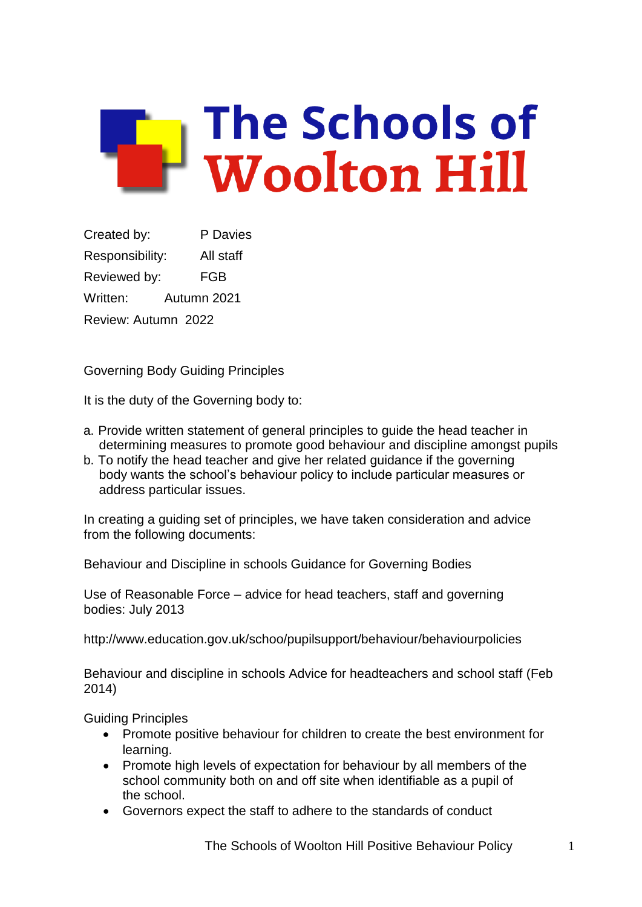

Created by: P Davies Responsibility: All staff Reviewed by: FGB Written: Autumn 2021 Review: Autumn 2022

Governing Body Guiding Principles

It is the duty of the Governing body to:

- a. Provide written statement of general principles to guide the head teacher in determining measures to promote good behaviour and discipline amongst pupils
- b. To notify the head teacher and give her related guidance if the governing body wants the school's behaviour policy to include particular measures or address particular issues.

In creating a guiding set of principles, we have taken consideration and advice from the following documents:

Behaviour and Discipline in schools Guidance for Governing Bodies

Use of Reasonable Force – advice for head teachers, staff and governing bodies: July 2013

<http://www.education.gov.uk/schoo/pupilsupport/behaviour/behaviourpolicies>

Behaviour and discipline in schools Advice for headteachers and school staff (Feb 2014)

Guiding Principles

- Promote positive behaviour for children to create the best environment for learning.
- Promote high levels of expectation for behaviour by all members of the school community both on and off site when identifiable as a pupil of the school.
- Governors expect the staff to adhere to the standards of conduct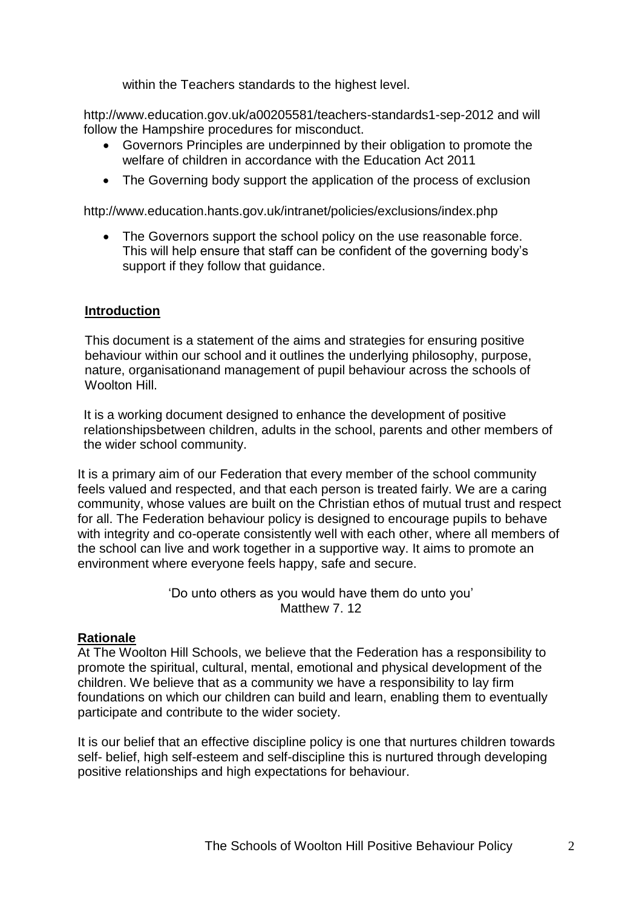within the Teachers standards to the highest level.

<http://www.education.gov.uk/a00205581/teachers-standards1-sep-2012> and will follow the Hampshire procedures for misconduct.

- Governors Principles are underpinned by their obligation to promote the welfare of children in accordance with the Education Act 2011
- The Governing body support the application of the process of exclusion

<http://www.education.hants.gov.uk/intranet/policies/exclusions/index.php>

• The Governors support the school policy on the use reasonable force. This will help ensure that staff can be confident of the governing body's support if they follow that guidance.

#### **Introduction**

This document is a statement of the aims and strategies for ensuring positive behaviour within our school and it outlines the underlying philosophy, purpose, nature, organisationand management of pupil behaviour across the schools of Woolton Hill

It is a working document designed to enhance the development of positive relationshipsbetween children, adults in the school, parents and other members of the wider school community.

It is a primary aim of our Federation that every member of the school community feels valued and respected, and that each person is treated fairly. We are a caring community, whose values are built on the Christian ethos of mutual trust and respect for all. The Federation behaviour policy is designed to encourage pupils to behave with integrity and co-operate consistently well with each other, where all members of the school can live and work together in a supportive way. It aims to promote an environment where everyone feels happy, safe and secure.

> 'Do unto others as you would have them do unto you' Matthew 7.12

#### **Rationale**

At The Woolton Hill Schools, we believe that the Federation has a responsibility to promote the spiritual, cultural, mental, emotional and physical development of the children. We believe that as a community we have a responsibility to lay firm foundations on which our children can build and learn, enabling them to eventually participate and contribute to the wider society.

It is our belief that an effective discipline policy is one that nurtures children towards self- belief, high self-esteem and self-discipline this is nurtured through developing positive relationships and high expectations for behaviour.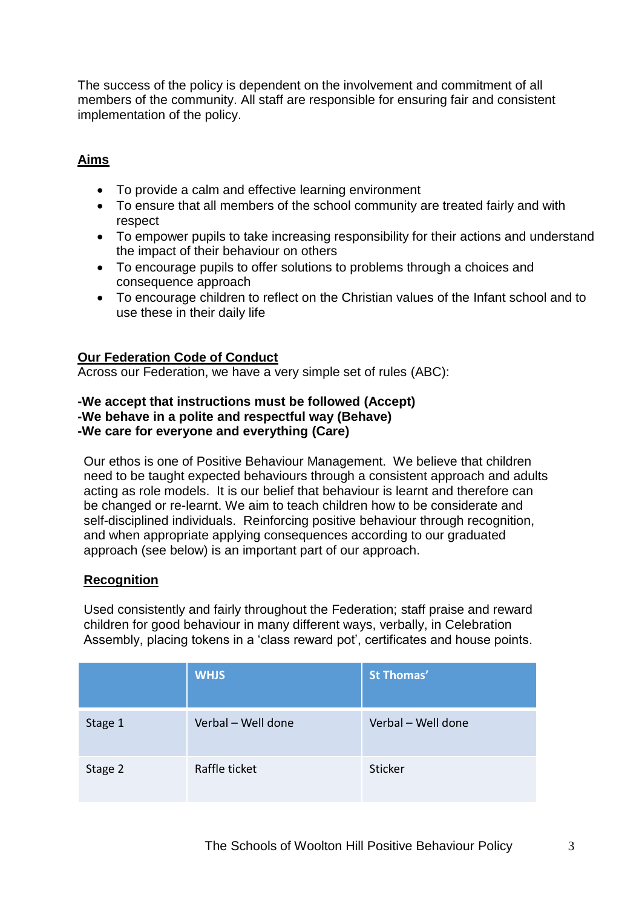The success of the policy is dependent on the involvement and commitment of all members of the community. All staff are responsible for ensuring fair and consistent implementation of the policy.

# **Aims**

- To provide a calm and effective learning environment
- To ensure that all members of the school community are treated fairly and with respect
- To empower pupils to take increasing responsibility for their actions and understand the impact of their behaviour on others
- To encourage pupils to offer solutions to problems through a choices and consequence approach
- To encourage children to reflect on the Christian values of the Infant school and to use these in their daily life

# **Our Federation Code of Conduct**

Across our Federation, we have a very simple set of rules (ABC):

#### **-We accept that instructions must be followed (Accept) -We behave in a polite and respectful way (Behave) -We care for everyone and everything (Care)**

Our ethos is one of Positive Behaviour Management. We believe that children need to be taught expected behaviours through a consistent approach and adults acting as role models. It is our belief that behaviour is learnt and therefore can be changed or re-learnt. We aim to teach children how to be considerate and self-disciplined individuals. Reinforcing positive behaviour through recognition, and when appropriate applying consequences according to our graduated approach (see below) is an important part of our approach.

# **Recognition**

Used consistently and fairly throughout the Federation; staff praise and reward children for good behaviour in many different ways, verbally, in Celebration Assembly, placing tokens in a 'class reward pot', certificates and house points.

|         | <b>WHJS</b>        | <b>St Thomas'</b>  |
|---------|--------------------|--------------------|
| Stage 1 | Verbal - Well done | Verbal - Well done |
| Stage 2 | Raffle ticket      | Sticker            |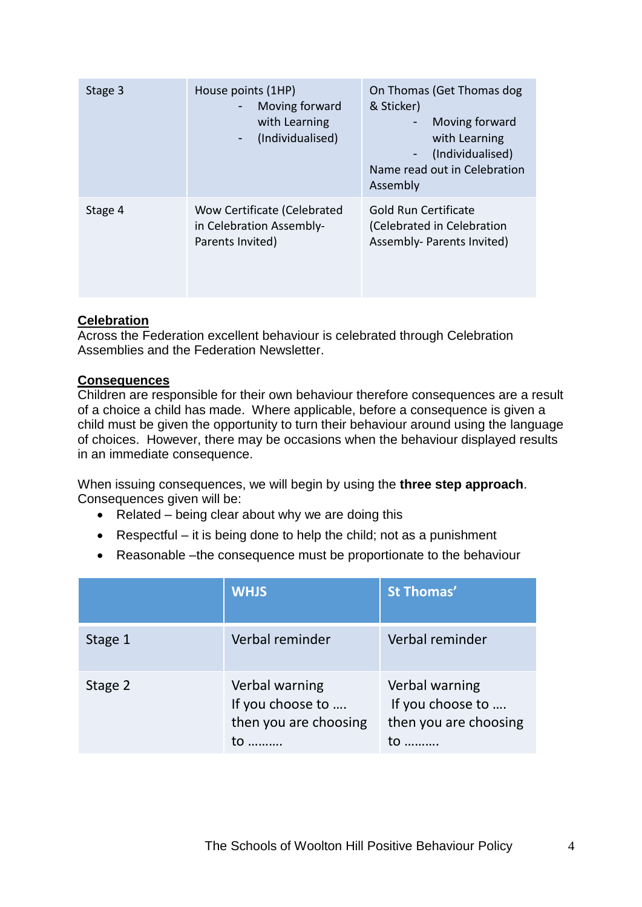| Stage 3 | House points (1HP)<br>Moving forward<br>with Learning<br>(Individualised)<br>٠ | On Thomas (Get Thomas dog<br>& Sticker)<br>Moving forward<br>with Learning<br>(Individualised)<br>Name read out in Celebration<br>Assembly |  |
|---------|--------------------------------------------------------------------------------|--------------------------------------------------------------------------------------------------------------------------------------------|--|
| Stage 4 | Wow Certificate (Celebrated<br>in Celebration Assembly-<br>Parents Invited)    | <b>Gold Run Certificate</b><br>(Celebrated in Celebration<br>Assembly- Parents Invited)                                                    |  |

# **Celebration**

Across the Federation excellent behaviour is celebrated through Celebration Assemblies and the Federation Newsletter.

#### **Consequences**

Children are responsible for their own behaviour therefore consequences are a result of a choice a child has made. Where applicable, before a consequence is given a child must be given the opportunity to turn their behaviour around using the language of choices. However, there may be occasions when the behaviour displayed results in an immediate consequence.

When issuing consequences, we will begin by using the **three step approach**. Consequences given will be:

- $\bullet$  Related being clear about why we are doing this
- **•** Respectful it is being done to help the child; not as a punishment
- Reasonable –the consequence must be proportionate to the behaviour

|         | <b>WHJS</b>                                                 | <b>St Thomas'</b>                                           |
|---------|-------------------------------------------------------------|-------------------------------------------------------------|
| Stage 1 | Verbal reminder                                             | Verbal reminder                                             |
| Stage 2 | Verbal warning<br>If you choose to<br>then you are choosing | Verbal warning<br>If you choose to<br>then you are choosing |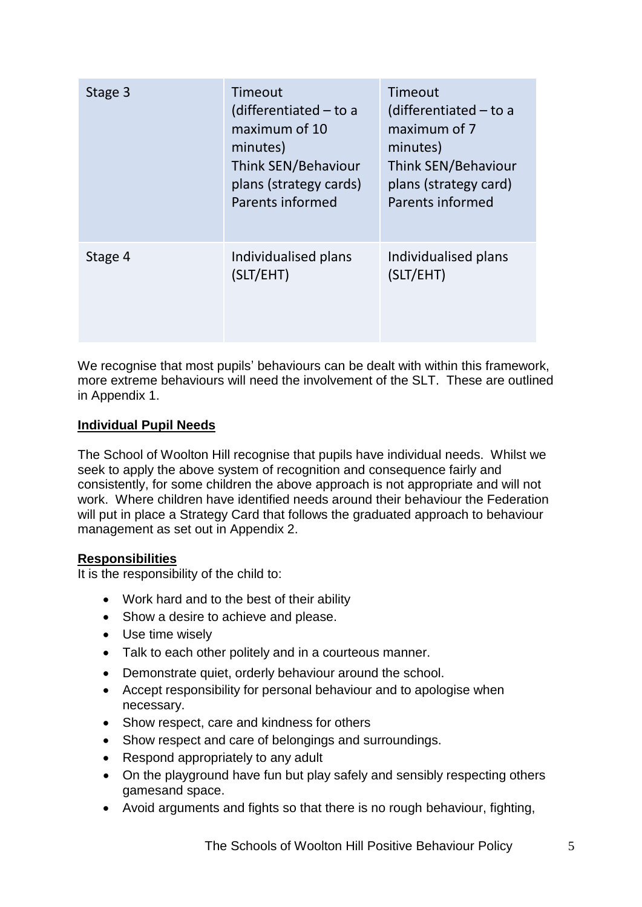| Stage 3 | Timeout<br>(differentiated $-$ to a<br>maximum of 10<br>minutes)<br>Think SEN/Behaviour<br>plans (strategy cards)<br>Parents informed | Timeout<br>$(differential - to a)$<br>maximum of 7<br>minutes)<br>Think SEN/Behaviour<br>plans (strategy card)<br>Parents informed |
|---------|---------------------------------------------------------------------------------------------------------------------------------------|------------------------------------------------------------------------------------------------------------------------------------|
| Stage 4 | Individualised plans<br>(SLT/EHT)                                                                                                     | Individualised plans<br>(SLT/EHT)                                                                                                  |

We recognise that most pupils' behaviours can be dealt with within this framework, more extreme behaviours will need the involvement of the SLT. These are outlined in Appendix 1.

# **Individual Pupil Needs**

The School of Woolton Hill recognise that pupils have individual needs. Whilst we seek to apply the above system of recognition and consequence fairly and consistently, for some children the above approach is not appropriate and will not work. Where children have identified needs around their behaviour the Federation will put in place a Strategy Card that follows the graduated approach to behaviour management as set out in Appendix 2.

# **Responsibilities**

It is the responsibility of the child to:

- Work hard and to the best of their ability
- Show a desire to achieve and please.
- Use time wisely
- Talk to each other politely and in a courteous manner.
- Demonstrate quiet, orderly behaviour around the school.
- Accept responsibility for personal behaviour and to apologise when necessary.
- Show respect, care and kindness for others
- Show respect and care of belongings and surroundings.
- Respond appropriately to any adult
- On the playground have fun but play safely and sensibly respecting others gamesand space.
- Avoid arguments and fights so that there is no rough behaviour, fighting,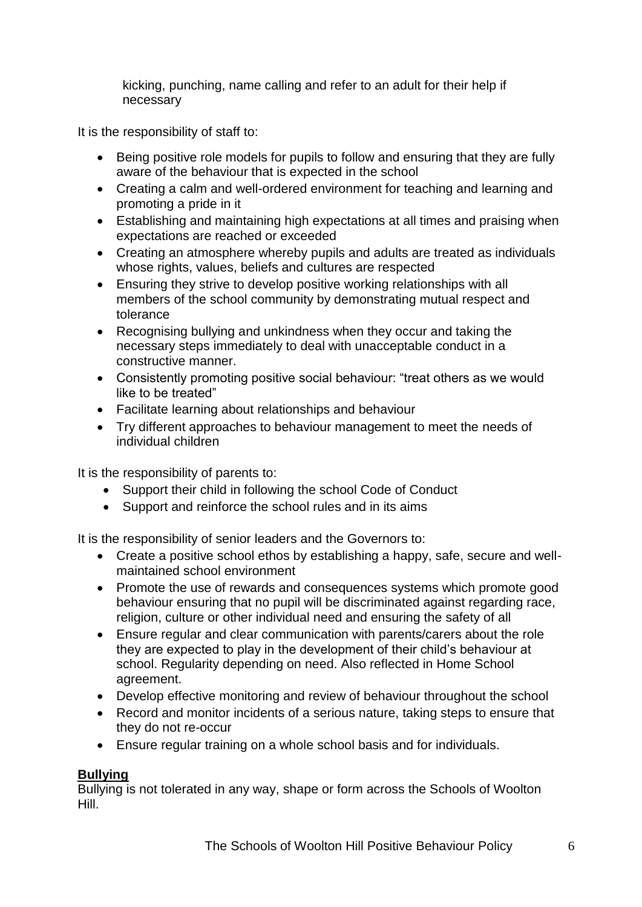kicking, punching, name calling and refer to an adult for their help if necessary

It is the responsibility of staff to:

- Being positive role models for pupils to follow and ensuring that they are fully aware of the behaviour that is expected in the school
- Creating a calm and well-ordered environment for teaching and learning and promoting a pride in it
- Establishing and maintaining high expectations at all times and praising when expectations are reached or exceeded
- Creating an atmosphere whereby pupils and adults are treated as individuals whose rights, values, beliefs and cultures are respected
- Ensuring they strive to develop positive working relationships with all members of the school community by demonstrating mutual respect and tolerance
- Recognising bullying and unkindness when they occur and taking the necessary steps immediately to deal with unacceptable conduct in a constructive manner.
- Consistently promoting positive social behaviour: "treat others as we would like to be treated"
- Facilitate learning about relationships and behaviour
- Try different approaches to behaviour management to meet the needs of individual children

It is the responsibility of parents to:

- Support their child in following the school Code of Conduct
- Support and reinforce the school rules and in its aims

It is the responsibility of senior leaders and the Governors to:

- Create a positive school ethos by establishing a happy, safe, secure and wellmaintained school environment
- Promote the use of rewards and consequences systems which promote good behaviour ensuring that no pupil will be discriminated against regarding race, religion, culture or other individual need and ensuring the safety of all
- Ensure regular and clear communication with parents/carers about the role they are expected to play in the development of their child's behaviour at school. Regularity depending on need. Also reflected in Home School agreement.
- Develop effective monitoring and review of behaviour throughout the school
- Record and monitor incidents of a serious nature, taking steps to ensure that they do not re-occur
- Ensure regular training on a whole school basis and for individuals.

# **Bullying**

Bullying is not tolerated in any way, shape or form across the Schools of Woolton Hill.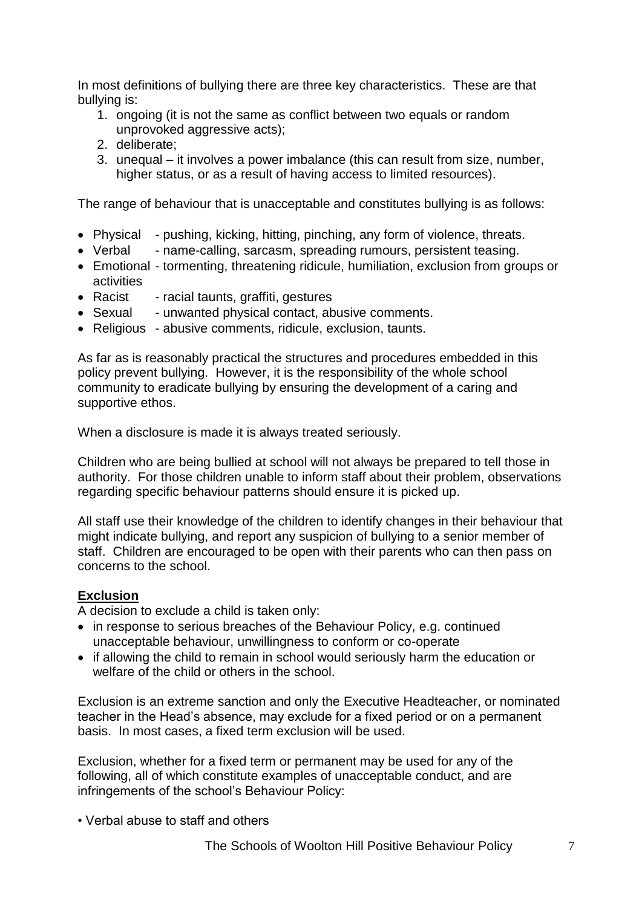In most definitions of bullying there are three key characteristics. These are that bullying is:

- 1. ongoing (it is not the same as conflict between two equals or random unprovoked aggressive acts);
- 2. deliberate;
- 3. unequal it involves a power imbalance (this can result from size, number, higher status, or as a result of having access to limited resources).

The range of behaviour that is unacceptable and constitutes bullying is as follows:

- Physical pushing, kicking, hitting, pinching, any form of violence, threats.
- Verbal name-calling, sarcasm, spreading rumours, persistent teasing.
- Emotional tormenting, threatening ridicule, humiliation, exclusion from groups or activities
- Racist racial taunts, graffiti, gestures
- Sexual unwanted physical contact, abusive comments.
- Religious abusive comments, ridicule, exclusion, taunts.

As far as is reasonably practical the structures and procedures embedded in this policy prevent bullying. However, it is the responsibility of the whole school community to eradicate bullying by ensuring the development of a caring and supportive ethos.

When a disclosure is made it is always treated seriously.

Children who are being bullied at school will not always be prepared to tell those in authority. For those children unable to inform staff about their problem, observations regarding specific behaviour patterns should ensure it is picked up.

All staff use their knowledge of the children to identify changes in their behaviour that might indicate bullying, and report any suspicion of bullying to a senior member of staff. Children are encouraged to be open with their parents who can then pass on concerns to the school.

#### **Exclusion**

A decision to exclude a child is taken only:

- in response to serious breaches of the Behaviour Policy, e.g. continued unacceptable behaviour, unwillingness to conform or co-operate
- if allowing the child to remain in school would seriously harm the education or welfare of the child or others in the school.

Exclusion is an extreme sanction and only the Executive Headteacher, or nominated teacher in the Head's absence, may exclude for a fixed period or on a permanent basis. In most cases, a fixed term exclusion will be used.

Exclusion, whether for a fixed term or permanent may be used for any of the following, all of which constitute examples of unacceptable conduct, and are infringements of the school's Behaviour Policy:

• Verbal abuse to staff and others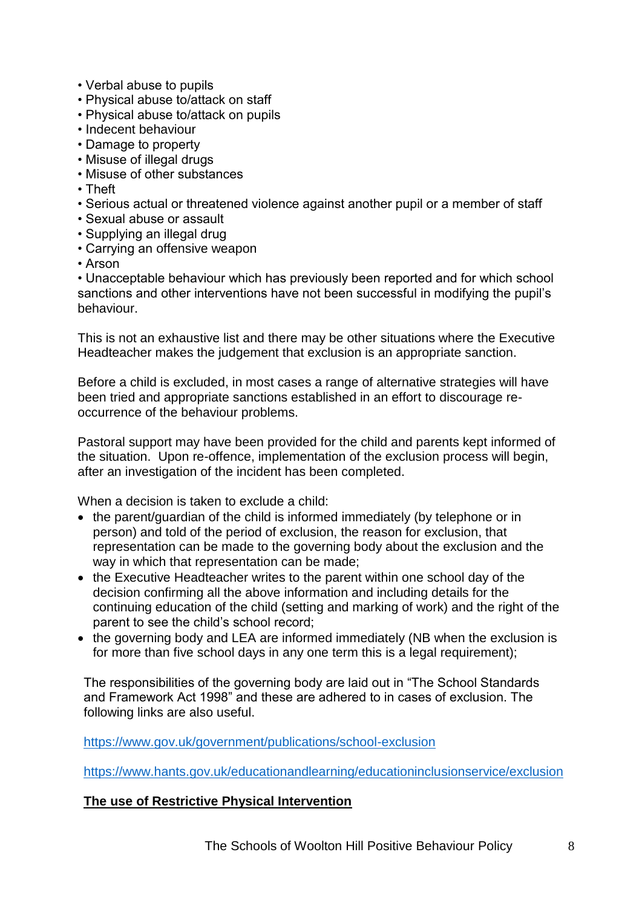- Verbal abuse to pupils
- Physical abuse to/attack on staff
- Physical abuse to/attack on pupils
- Indecent behaviour
- Damage to property
- Misuse of illegal drugs
- Misuse of other substances
- Theft
- Serious actual or threatened violence against another pupil or a member of staff
- Sexual abuse or assault
- Supplying an illegal drug
- Carrying an offensive weapon
- Arson

• Unacceptable behaviour which has previously been reported and for which school sanctions and other interventions have not been successful in modifying the pupil's behaviour.

This is not an exhaustive list and there may be other situations where the Executive Headteacher makes the judgement that exclusion is an appropriate sanction.

Before a child is excluded, in most cases a range of alternative strategies will have been tried and appropriate sanctions established in an effort to discourage reoccurrence of the behaviour problems.

Pastoral support may have been provided for the child and parents kept informed of the situation. Upon re-offence, implementation of the exclusion process will begin, after an investigation of the incident has been completed.

When a decision is taken to exclude a child:

- the parent/guardian of the child is informed immediately (by telephone or in person) and told of the period of exclusion, the reason for exclusion, that representation can be made to the governing body about the exclusion and the way in which that representation can be made;
- the Executive Headteacher writes to the parent within one school day of the decision confirming all the above information and including details for the continuing education of the child (setting and marking of work) and the right of the parent to see the child's school record;
- the governing body and LEA are informed immediately (NB when the exclusion is for more than five school days in any one term this is a legal requirement);

The responsibilities of the governing body are laid out in "The School Standards and Framework Act 1998" and these are adhered to in cases of exclusion. The following links are also useful.

<https://www.gov.uk/government/publications/school-exclusion>

<https://www.hants.gov.uk/educationandlearning/educationinclusionservice/exclusion>

#### **The use of Restrictive Physical Intervention**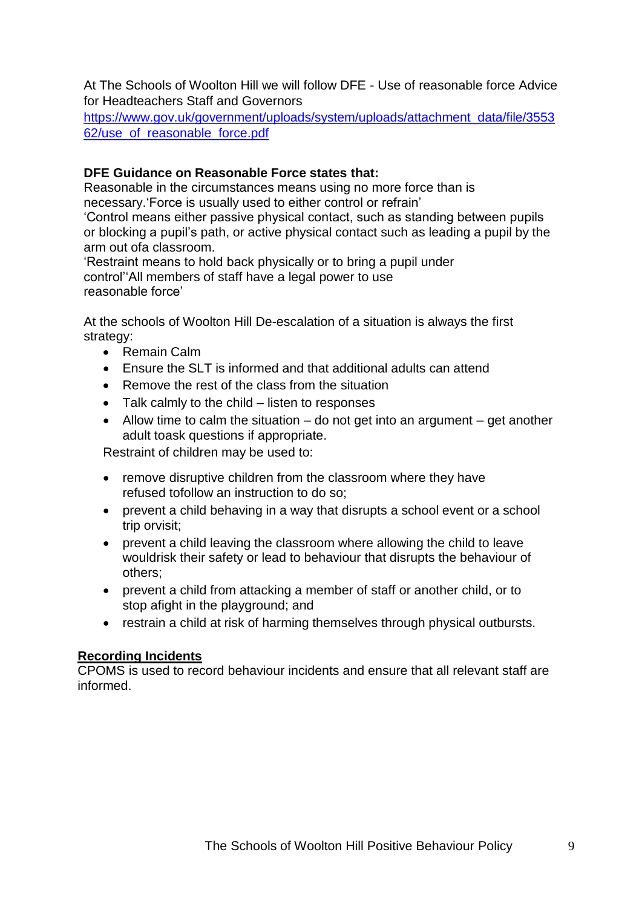At The Schools of Woolton Hill we will follow DFE - Use of reasonable force Advice for Headteachers Staff and Governors

[https://www.gov.uk/government/uploads/system/uploads/attachment\\_data/file/3553](https://www.gov.uk/government/uploads/system/uploads/attachment_data/file/355362/use_of_reasonable_force.pdf) [62/use\\_of\\_reasonable\\_force.pdf](https://www.gov.uk/government/uploads/system/uploads/attachment_data/file/355362/use_of_reasonable_force.pdf)

# **DFE Guidance on Reasonable Force states that:**

Reasonable in the circumstances means using no more force than is necessary.'Force is usually used to either control or refrain'

'Control means either passive physical contact, such as standing between pupils or blocking a pupil's path, or active physical contact such as leading a pupil by the arm out ofa classroom.

'Restraint means to hold back physically or to bring a pupil under control''All members of staff have a legal power to use reasonable force'

At the schools of Woolton Hill De-escalation of a situation is always the first strategy:

- Remain Calm
- Ensure the SLT is informed and that additional adults can attend
- Remove the rest of the class from the situation
- $\bullet$  Talk calmly to the child listen to responses
- $\bullet$  Allow time to calm the situation do not get into an argument get another adult toask questions if appropriate.

Restraint of children may be used to:

- remove disruptive children from the classroom where they have refused tofollow an instruction to do so;
- prevent a child behaving in a way that disrupts a school event or a school trip orvisit;
- prevent a child leaving the classroom where allowing the child to leave wouldrisk their safety or lead to behaviour that disrupts the behaviour of others;
- prevent a child from attacking a member of staff or another child, or to stop afight in the playground; and
- restrain a child at risk of harming themselves through physical outbursts.

#### **Recording Incidents**

CPOMS is used to record behaviour incidents and ensure that all relevant staff are informed.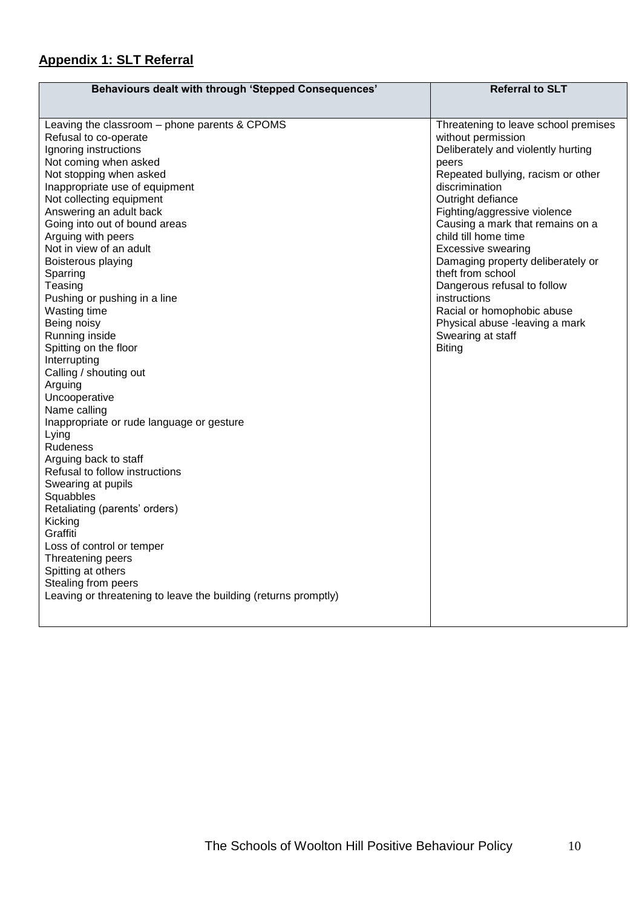# **Appendix 1: SLT Referral**

| <b>Behaviours dealt with through 'Stepped Consequences'</b>     | <b>Referral to SLT</b>               |  |  |
|-----------------------------------------------------------------|--------------------------------------|--|--|
|                                                                 |                                      |  |  |
| Leaving the classroom - phone parents & CPOMS                   | Threatening to leave school premises |  |  |
| Refusal to co-operate                                           | without permission                   |  |  |
| Ignoring instructions                                           | Deliberately and violently hurting   |  |  |
| Not coming when asked                                           | peers                                |  |  |
| Not stopping when asked                                         | Repeated bullying, racism or other   |  |  |
| Inappropriate use of equipment                                  | discrimination                       |  |  |
| Not collecting equipment                                        | Outright defiance                    |  |  |
| Answering an adult back                                         | Fighting/aggressive violence         |  |  |
| Going into out of bound areas                                   | Causing a mark that remains on a     |  |  |
| Arguing with peers                                              | child till home time                 |  |  |
| Not in view of an adult                                         | <b>Excessive swearing</b>            |  |  |
| Boisterous playing                                              | Damaging property deliberately or    |  |  |
| Sparring                                                        | theft from school                    |  |  |
| Teasing                                                         | Dangerous refusal to follow          |  |  |
| Pushing or pushing in a line                                    | instructions                         |  |  |
| Wasting time                                                    | Racial or homophobic abuse           |  |  |
| Being noisy                                                     | Physical abuse -leaving a mark       |  |  |
| Running inside                                                  | Swearing at staff                    |  |  |
| Spitting on the floor                                           | <b>Biting</b>                        |  |  |
| Interrupting                                                    |                                      |  |  |
| Calling / shouting out                                          |                                      |  |  |
| Arguing                                                         |                                      |  |  |
| Uncooperative                                                   |                                      |  |  |
| Name calling                                                    |                                      |  |  |
| Inappropriate or rude language or gesture                       |                                      |  |  |
| Lying                                                           |                                      |  |  |
| Rudeness                                                        |                                      |  |  |
| Arguing back to staff                                           |                                      |  |  |
| Refusal to follow instructions                                  |                                      |  |  |
| Swearing at pupils                                              |                                      |  |  |
| Squabbles                                                       |                                      |  |  |
| Retaliating (parents' orders)                                   |                                      |  |  |
| Kicking                                                         |                                      |  |  |
| Graffiti                                                        |                                      |  |  |
| Loss of control or temper                                       |                                      |  |  |
| Threatening peers                                               |                                      |  |  |
| Spitting at others                                              |                                      |  |  |
| Stealing from peers                                             |                                      |  |  |
| Leaving or threatening to leave the building (returns promptly) |                                      |  |  |
|                                                                 |                                      |  |  |
|                                                                 |                                      |  |  |